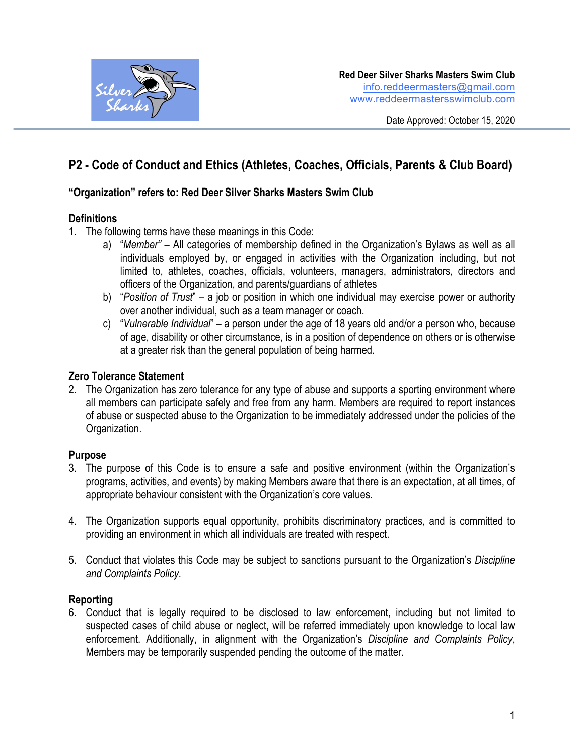

# **P2 - Code of Conduct and Ethics (Athletes, Coaches, Officials, Parents & Club Board)**

# **"Organization" refers to: Red Deer Silver Sharks Masters Swim Club**

# **Definitions**

- 1. The following terms have these meanings in this Code:
	- a) "*Member"* All categories of membership defined in the Organization's Bylaws as well as all individuals employed by, or engaged in activities with the Organization including, but not limited to, athletes, coaches, officials, volunteers, managers, administrators, directors and officers of the Organization, and parents/guardians of athletes
	- b) "*Position of Trust*" a job or position in which one individual may exercise power or authority over another individual, such as a team manager or coach.
	- c) "*Vulnerable Individual*" a person under the age of 18 years old and/or a person who, because of age, disability or other circumstance, is in a position of dependence on others or is otherwise at a greater risk than the general population of being harmed.

#### **Zero Tolerance Statement**

2. The Organization has zero tolerance for any type of abuse and supports a sporting environment where all members can participate safely and free from any harm. Members are required to report instances of abuse or suspected abuse to the Organization to be immediately addressed under the policies of the Organization.

#### **Purpose**

- 3. The purpose of this Code is to ensure a safe and positive environment (within the Organization's programs, activities, and events) by making Members aware that there is an expectation, at all times, of appropriate behaviour consistent with the Organization's core values.
- 4. The Organization supports equal opportunity, prohibits discriminatory practices, and is committed to providing an environment in which all individuals are treated with respect.
- 5. Conduct that violates this Code may be subject to sanctions pursuant to the Organization's *Discipline and Complaints Policy.*

#### **Reporting**

6. Conduct that is legally required to be disclosed to law enforcement, including but not limited to suspected cases of child abuse or neglect, will be referred immediately upon knowledge to local law enforcement. Additionally, in alignment with the Organization's *Discipline and Complaints Policy*, Members may be temporarily suspended pending the outcome of the matter.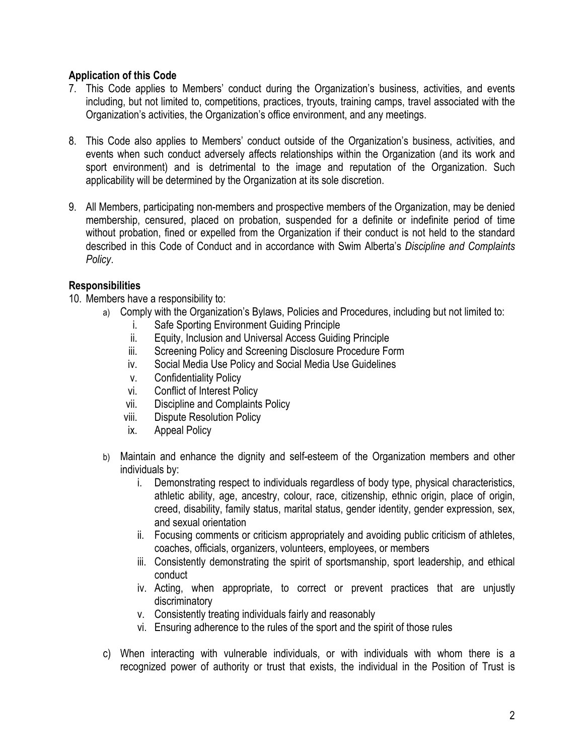#### **Application of this Code**

- 7. This Code applies to Members' conduct during the Organization's business, activities, and events including, but not limited to, competitions, practices, tryouts, training camps, travel associated with the Organization's activities, the Organization's office environment, and any meetings.
- 8. This Code also applies to Members' conduct outside of the Organization's business, activities, and events when such conduct adversely affects relationships within the Organization (and its work and sport environment) and is detrimental to the image and reputation of the Organization. Such applicability will be determined by the Organization at its sole discretion.
- 9. All Members, participating non-members and prospective members of the Organization, may be denied membership, censured, placed on probation, suspended for a definite or indefinite period of time without probation, fined or expelled from the Organization if their conduct is not held to the standard described in this Code of Conduct and in accordance with Swim Alberta's *Discipline and Complaints Policy*.

# **Responsibilities**

- 10. Members have a responsibility to:
	- a) Comply with the Organization's Bylaws, Policies and Procedures, including but not limited to:
		- i. Safe Sporting Environment Guiding Principle
		- ii. Equity, Inclusion and Universal Access Guiding Principle
		- iii. Screening Policy and Screening Disclosure Procedure Form
		- iv. Social Media Use Policy and Social Media Use Guidelines
		- v. Confidentiality Policy
		- vi. Conflict of Interest Policy
		- vii. Discipline and Complaints Policy
		- viii. Dispute Resolution Policy
		- ix. Appeal Policy
	- b) Maintain and enhance the dignity and self-esteem of the Organization members and other individuals by:
		- i. Demonstrating respect to individuals regardless of body type, physical characteristics, athletic ability, age, ancestry, colour, race, citizenship, ethnic origin, place of origin, creed, disability, family status, marital status, gender identity, gender expression, sex, and sexual orientation
		- ii. Focusing comments or criticism appropriately and avoiding public criticism of athletes, coaches, officials, organizers, volunteers, employees, or members
		- iii. Consistently demonstrating the spirit of sportsmanship, sport leadership, and ethical conduct
		- iv. Acting, when appropriate, to correct or prevent practices that are unjustly discriminatory
		- v. Consistently treating individuals fairly and reasonably
		- vi. Ensuring adherence to the rules of the sport and the spirit of those rules
	- c) When interacting with vulnerable individuals, or with individuals with whom there is a recognized power of authority or trust that exists, the individual in the Position of Trust is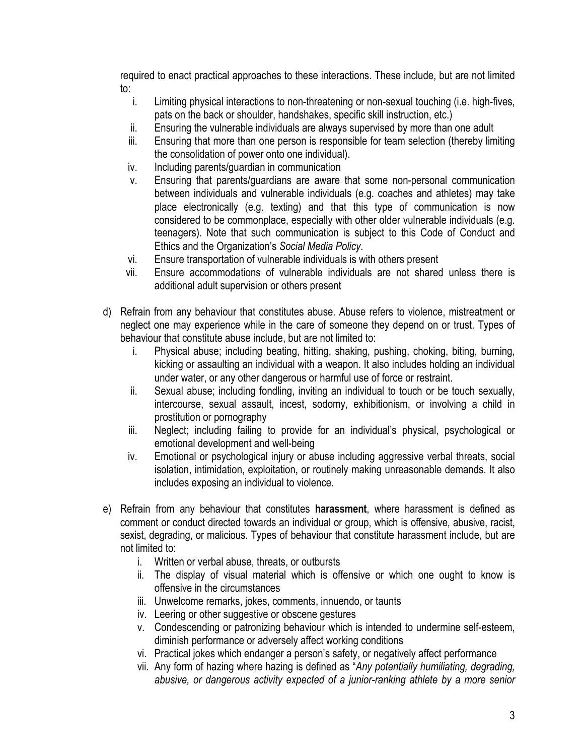required to enact practical approaches to these interactions. These include, but are not limited to:

- i. Limiting physical interactions to non-threatening or non-sexual touching (i.e. high-fives, pats on the back or shoulder, handshakes, specific skill instruction, etc.)
- ii. Ensuring the vulnerable individuals are always supervised by more than one adult
- iii. Ensuring that more than one person is responsible for team selection (thereby limiting the consolidation of power onto one individual).
- iv. Including parents/guardian in communication
- v. Ensuring that parents/guardians are aware that some non-personal communication between individuals and vulnerable individuals (e.g. coaches and athletes) may take place electronically (e.g. texting) and that this type of communication is now considered to be commonplace, especially with other older vulnerable individuals (e.g. teenagers). Note that such communication is subject to this Code of Conduct and Ethics and the Organization's *Social Media Policy*.
- vi. Ensure transportation of vulnerable individuals is with others present
- vii. Ensure accommodations of vulnerable individuals are not shared unless there is additional adult supervision or others present
- d) Refrain from any behaviour that constitutes abuse. Abuse refers to violence, mistreatment or neglect one may experience while in the care of someone they depend on or trust. Types of behaviour that constitute abuse include, but are not limited to:
	- i. Physical abuse; including beating, hitting, shaking, pushing, choking, biting, burning, kicking or assaulting an individual with a weapon. It also includes holding an individual under water, or any other dangerous or harmful use of force or restraint.
	- ii. Sexual abuse; including fondling, inviting an individual to touch or be touch sexually, intercourse, sexual assault, incest, sodomy, exhibitionism, or involving a child in prostitution or pornography
	- iii. Neglect; including failing to provide for an individual's physical, psychological or emotional development and well-being
	- iv. Emotional or psychological injury or abuse including aggressive verbal threats, social isolation, intimidation, exploitation, or routinely making unreasonable demands. It also includes exposing an individual to violence.
- e) Refrain from any behaviour that constitutes **harassment**, where harassment is defined as comment or conduct directed towards an individual or group, which is offensive, abusive, racist, sexist, degrading, or malicious. Types of behaviour that constitute harassment include, but are not limited to:
	- i. Written or verbal abuse, threats, or outbursts
	- ii. The display of visual material which is offensive or which one ought to know is offensive in the circumstances
	- iii. Unwelcome remarks, jokes, comments, innuendo, or taunts
	- iv. Leering or other suggestive or obscene gestures
	- v. Condescending or patronizing behaviour which is intended to undermine self-esteem, diminish performance or adversely affect working conditions
	- vi. Practical jokes which endanger a person's safety, or negatively affect performance
	- vii. Any form of hazing where hazing is defined as "*Any potentially humiliating, degrading, abusive, or dangerous activity expected of a junior-ranking athlete by a more senior*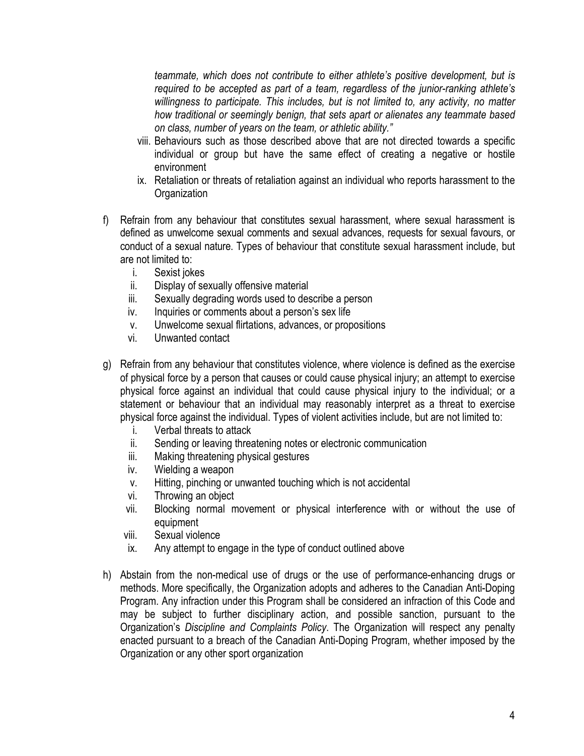*teammate, which does not contribute to either athlete's positive development, but is required to be accepted as part of a team, regardless of the junior-ranking athlete's willingness to participate. This includes, but is not limited to, any activity, no matter how traditional or seemingly benign, that sets apart or alienates any teammate based on class, number of years on the team, or athletic ability."*

- viii. Behaviours such as those described above that are not directed towards a specific individual or group but have the same effect of creating a negative or hostile environment
- ix. Retaliation or threats of retaliation against an individual who reports harassment to the **Organization**
- f) Refrain from any behaviour that constitutes sexual harassment, where sexual harassment is defined as unwelcome sexual comments and sexual advances, requests for sexual favours, or conduct of a sexual nature. Types of behaviour that constitute sexual harassment include, but are not limited to:
	- i. Sexist jokes
	- ii. Display of sexually offensive material
	- iii. Sexually degrading words used to describe a person
	- iv. Inquiries or comments about a person's sex life
	- v. Unwelcome sexual flirtations, advances, or propositions
	- vi. Unwanted contact
- g) Refrain from any behaviour that constitutes violence, where violence is defined as the exercise of physical force by a person that causes or could cause physical injury; an attempt to exercise physical force against an individual that could cause physical injury to the individual; or a statement or behaviour that an individual may reasonably interpret as a threat to exercise physical force against the individual. Types of violent activities include, but are not limited to:
	- i. Verbal threats to attack
	- ii. Sending or leaving threatening notes or electronic communication
	- iii. Making threatening physical gestures
	- iv. Wielding a weapon
	- v. Hitting, pinching or unwanted touching which is not accidental
	- vi. Throwing an object
	- vii. Blocking normal movement or physical interference with or without the use of equipment
	- viii. Sexual violence
	- ix. Any attempt to engage in the type of conduct outlined above
- h) Abstain from the non-medical use of drugs or the use of performance-enhancing drugs or methods. More specifically, the Organization adopts and adheres to the Canadian Anti-Doping Program. Any infraction under this Program shall be considered an infraction of this Code and may be subject to further disciplinary action, and possible sanction, pursuant to the Organization's *Discipline and Complaints Policy*. The Organization will respect any penalty enacted pursuant to a breach of the Canadian Anti-Doping Program, whether imposed by the Organization or any other sport organization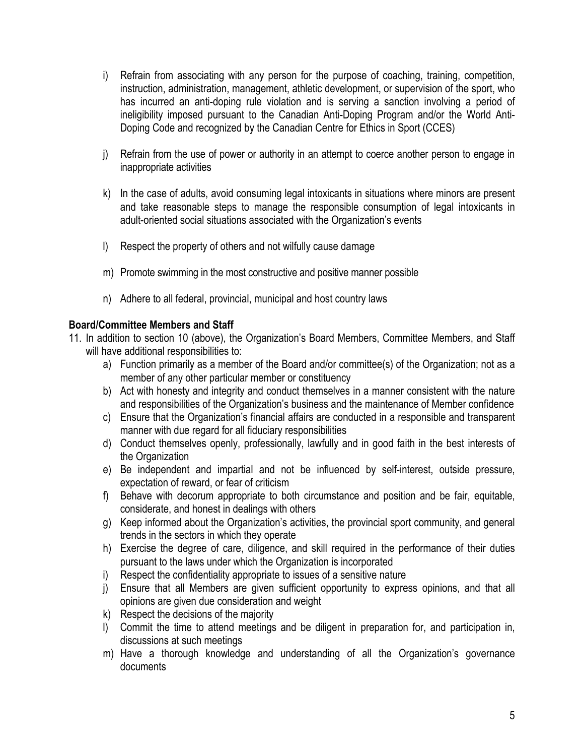- i) Refrain from associating with any person for the purpose of coaching, training, competition, instruction, administration, management, athletic development, or supervision of the sport, who has incurred an anti-doping rule violation and is serving a sanction involving a period of ineligibility imposed pursuant to the Canadian Anti-Doping Program and/or the World Anti-Doping Code and recognized by the Canadian Centre for Ethics in Sport (CCES)
- j) Refrain from the use of power or authority in an attempt to coerce another person to engage in inappropriate activities
- k) In the case of adults, avoid consuming legal intoxicants in situations where minors are present and take reasonable steps to manage the responsible consumption of legal intoxicants in adult-oriented social situations associated with the Organization's events
- l) Respect the property of others and not wilfully cause damage
- m) Promote swimming in the most constructive and positive manner possible
- n) Adhere to all federal, provincial, municipal and host country laws

# **Board/Committee Members and Staff**

- 11. In addition to section 10 (above), the Organization's Board Members, Committee Members, and Staff will have additional responsibilities to:
	- a) Function primarily as a member of the Board and/or committee(s) of the Organization; not as a member of any other particular member or constituency
	- b) Act with honesty and integrity and conduct themselves in a manner consistent with the nature and responsibilities of the Organization's business and the maintenance of Member confidence
	- c) Ensure that the Organization's financial affairs are conducted in a responsible and transparent manner with due regard for all fiduciary responsibilities
	- d) Conduct themselves openly, professionally, lawfully and in good faith in the best interests of the Organization
	- e) Be independent and impartial and not be influenced by self-interest, outside pressure, expectation of reward, or fear of criticism
	- f) Behave with decorum appropriate to both circumstance and position and be fair, equitable, considerate, and honest in dealings with others
	- g) Keep informed about the Organization's activities, the provincial sport community, and general trends in the sectors in which they operate
	- h) Exercise the degree of care, diligence, and skill required in the performance of their duties pursuant to the laws under which the Organization is incorporated
	- i) Respect the confidentiality appropriate to issues of a sensitive nature
	- j) Ensure that all Members are given sufficient opportunity to express opinions, and that all opinions are given due consideration and weight
	- k) Respect the decisions of the majority
	- l) Commit the time to attend meetings and be diligent in preparation for, and participation in, discussions at such meetings
	- m) Have a thorough knowledge and understanding of all the Organization's governance documents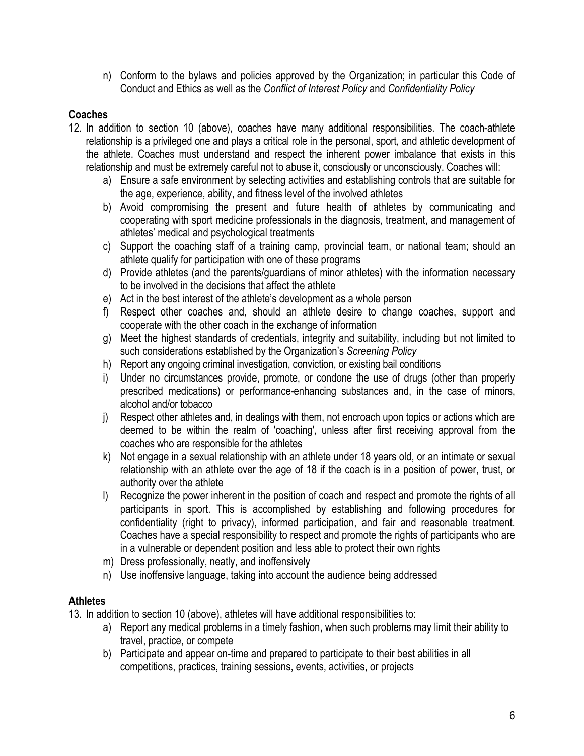n) Conform to the bylaws and policies approved by the Organization; in particular this Code of Conduct and Ethics as well as the *Conflict of Interest Policy* and *Confidentiality Policy*

# **Coaches**

- 12. In addition to section 10 (above), coaches have many additional responsibilities. The coach-athlete relationship is a privileged one and plays a critical role in the personal, sport, and athletic development of the athlete. Coaches must understand and respect the inherent power imbalance that exists in this relationship and must be extremely careful not to abuse it, consciously or unconsciously. Coaches will:
	- a) Ensure a safe environment by selecting activities and establishing controls that are suitable for the age, experience, ability, and fitness level of the involved athletes
	- b) Avoid compromising the present and future health of athletes by communicating and cooperating with sport medicine professionals in the diagnosis, treatment, and management of athletes' medical and psychological treatments
	- c) Support the coaching staff of a training camp, provincial team, or national team; should an athlete qualify for participation with one of these programs
	- d) Provide athletes (and the parents/guardians of minor athletes) with the information necessary to be involved in the decisions that affect the athlete
	- e) Act in the best interest of the athlete's development as a whole person
	- f) Respect other coaches and, should an athlete desire to change coaches, support and cooperate with the other coach in the exchange of information
	- g) Meet the highest standards of credentials, integrity and suitability, including but not limited to such considerations established by the Organization's *Screening Policy*
	- h) Report any ongoing criminal investigation, conviction, or existing bail conditions
	- i) Under no circumstances provide, promote, or condone the use of drugs (other than properly prescribed medications) or performance-enhancing substances and, in the case of minors, alcohol and/or tobacco
	- j) Respect other athletes and, in dealings with them, not encroach upon topics or actions which are deemed to be within the realm of 'coaching', unless after first receiving approval from the coaches who are responsible for the athletes
	- k) Not engage in a sexual relationship with an athlete under 18 years old, or an intimate or sexual relationship with an athlete over the age of 18 if the coach is in a position of power, trust, or authority over the athlete
	- l) Recognize the power inherent in the position of coach and respect and promote the rights of all participants in sport. This is accomplished by establishing and following procedures for confidentiality (right to privacy), informed participation, and fair and reasonable treatment. Coaches have a special responsibility to respect and promote the rights of participants who are in a vulnerable or dependent position and less able to protect their own rights
	- m) Dress professionally, neatly, and inoffensively
	- n) Use inoffensive language, taking into account the audience being addressed

#### **Athletes**

13. In addition to section 10 (above), athletes will have additional responsibilities to:

- a) Report any medical problems in a timely fashion, when such problems may limit their ability to travel, practice, or compete
- b) Participate and appear on-time and prepared to participate to their best abilities in all competitions, practices, training sessions, events, activities, or projects